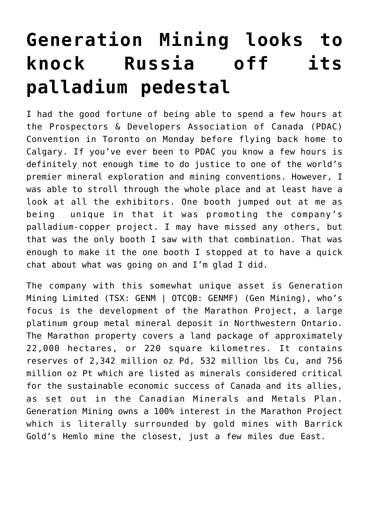## **[Generation Mining looks to](https://investorintel.com/markets/technology-metals/technology-metals-intel/generation-mining-is-on-its-way-from-palladium-explorer-to-producer/) [knock Russia off its](https://investorintel.com/markets/technology-metals/technology-metals-intel/generation-mining-is-on-its-way-from-palladium-explorer-to-producer/) [palladium pedestal](https://investorintel.com/markets/technology-metals/technology-metals-intel/generation-mining-is-on-its-way-from-palladium-explorer-to-producer/)**

I had the good fortune of being able to spend a few hours at the [Prospectors & Developers Association of Canada](https://www.pdac.ca/) (PDAC) Convention in Toronto on Monday before flying back home to Calgary. If you've ever been to PDAC you know a few hours is definitely not enough time to do justice to one of the world's premier mineral exploration and mining conventions. However, I was able to stroll through the whole place and at least have a look at all the exhibitors. One booth jumped out at me as being unique in that it was promoting the company's palladium-copper project. I may have missed any others, but that was the only booth I saw with that combination. That was enough to make it the one booth I stopped at to have a quick chat about what was going on and I'm glad I did.

The company with this somewhat unique asset is [Generation](https://genmining.com/) [Mining Limited](https://genmining.com/) (TSX: GENM | OTCQB: GENMF) (Gen Mining), who's focus is the development of the [Marathon Project,](https://genmining.com/projects/overview/) a large platinum group metal mineral deposit in Northwestern Ontario. The Marathon property covers a land package of approximately 22,000 hectares, or 220 square kilometres. It contains reserves of 2,342 million oz Pd, 532 million lbs Cu, and 756 million oz Pt which are listed as minerals considered critical for the sustainable economic success of Canada and its allies, as set out in the Canadian Minerals and Metals Plan. Generation Mining owns a 100% interest in the Marathon Project which is literally surrounded by gold mines with Barrick Gold's Hemlo mine the closest, just a few miles due East.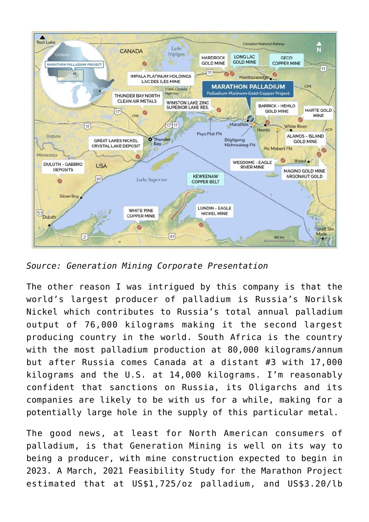

*Source: Generation Mining [Corporate Presentation](https://genmining.com/investors/presentations/)*

The other reason I was intrigued by this company is that the world's largest producer of palladium is Russia's Norilsk Nickel which contributes to Russia's total annual palladium output of 76,000 kilograms making it the second largest producing country in the world. South Africa is the country with the most palladium production at 80,000 kilograms/annum but after Russia comes Canada at a distant #3 with 17,000 kilograms and the U.S. at 14,000 kilograms. I'm reasonably confident that sanctions on Russia, its Oligarchs and its companies are likely to be with us for a while, making for a potentially large hole in the supply of this particular metal.

The good news, at least for North American consumers of palladium, is that Generation Mining is well on its way to being a producer, with mine construction expected to begin in 2023. A [March, 2021 Feasibility Study](https://genmining.com/news/2021/generation-mining-delivers-positive-feasibility-study-for-marathon-palladium-copper-project/) for the Marathon Project estimated that at US\$1,725/oz palladium, and US\$3.20/lb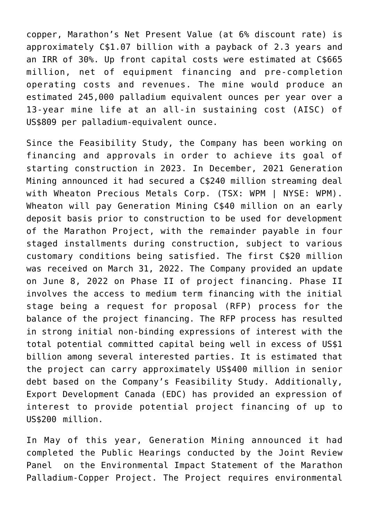copper, Marathon's Net Present Value (at 6% discount rate) is approximately C\$1.07 billion with a payback of 2.3 years and an IRR of 30%. Up front capital costs were estimated at C\$665 million, net of equipment financing and pre-completion operating costs and revenues. The mine would produce an estimated 245,000 palladium equivalent ounces per year over a 13-year mine life at an all-in sustaining cost (AISC) of US\$809 per palladium-equivalent ounce.

Since the Feasibility Study, the Company has been working on financing and approvals in order to achieve its goal of starting construction in 2023. In December, 2021 Generation Mining announced it had secured a [C\\$240 million streaming deal](https://genmining.com/news/2021/generation-mining-secures-240-million-stream-with-wheaton-precious-metals/) with [Wheaton Precious Metals Corp.](https://www.wheatonpm.com/Home/) (TSX: WPM | NYSE: WPM). Wheaton will pay Generation Mining C\$40 million on an early deposit basis prior to construction to be used for development of the Marathon Project, with the remainder payable in four staged installments during construction, subject to various customary conditions being satisfied. The first C\$20 million was received on March 31, 2022. The Company provided an update on June 8, 2022 on [Phase II of project financing](https://genmining.com/news/2022/generation-mining-provides-update-on-marathon-project-financing-discussions/). Phase II involves the access to medium term financing with the initial stage being a request for proposal (RFP) process for the balance of the project financing. The RFP process has resulted in strong initial non-binding expressions of interest with the total potential committed capital being well in excess of US\$1 billion among several interested parties. It is estimated that the project can carry approximately US\$400 million in senior debt based on the Company's Feasibility Study. Additionally, Export Development Canada (EDC) has provided an expression of interest to provide potential project financing of up to US\$200 million.

In May of this year, Generation Mining announced it had [completed the Public Hearings](https://genmining.com/news/2022/generation-mining-announces-completion-of-public-hearings-for-the-environmental-assessment/) conducted by the Joint Review Panel on the Environmental Impact Statement of the Marathon Palladium-Copper Project. The Project requires environmental